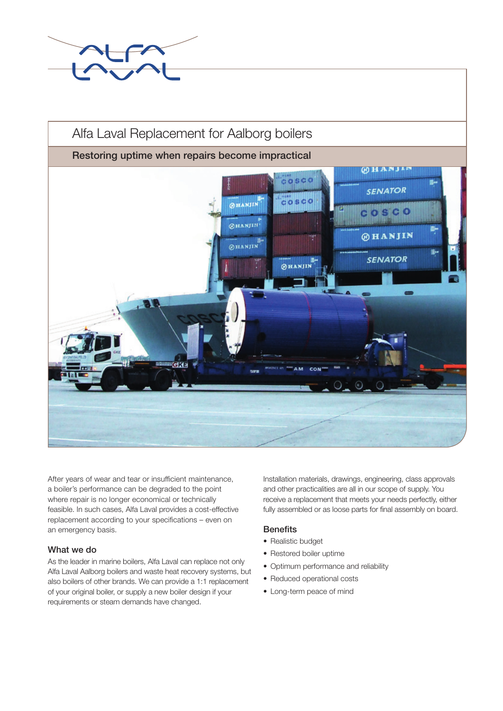

# Alfa Laval Replacement for Aalborg boilers

# Restoring uptime when repairs become impractical



After years of wear and tear or insufficient maintenance, a boiler's performance can be degraded to the point where repair is no longer economical or technically feasible. In such cases, Alfa Laval provides a cost-effective replacement according to your specifications – even on an emergency basis.

#### What we do

As the leader in marine boilers, Alfa Laval can replace not only Alfa Laval Aalborg boilers and waste heat recovery systems, but also boilers of other brands. We can provide a 1:1 replacement of your original boiler, or supply a new boiler design if your requirements or steam demands have changed.

Installation materials, drawings, engineering, class approvals and other practicalities are all in our scope of supply. You receive a replacement that meets your needs perfectly, either fully assembled or as loose parts for final assembly on board.

#### **Benefits**

- Realistic budget
- Restored boiler uptime
- Optimum performance and reliability
- Reduced operational costs
- Long-term peace of mind